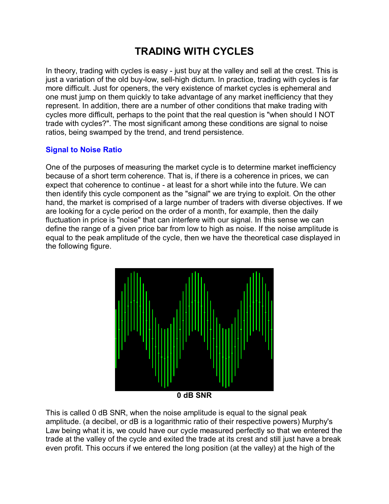# **TRADING WITH CYCLES**

In theory, trading with cycles is easy - just buy at the valley and sell at the crest. This is just a variation of the old buy-low, sell-high dictum. In practice, trading with cycles is far more difficult. Just for openers, the very existence of market cycles is ephemeral and one must jump on them quickly to take advantage of any market inefficiency that they represent. In addition, there are a number of other conditions that make trading with cycles more difficult, perhaps to the point that the real question is "when should I NOT trade with cycles?". The most significant among these conditions are signal to noise ratios, being swamped by the trend, and trend persistence.

## **Signal to Noise Ratio**

One of the purposes of measuring the market cycle is to determine market inefficiency because of a short term coherence. That is, if there is a coherence in prices, we can expect that coherence to continue - at least for a short while into the future. We can then identify this cycle component as the "signal" we are trying to exploit. On the other hand, the market is comprised of a large number of traders with diverse objectives. If we are looking for a cycle period on the order of a month, for example, then the daily fluctuation in price is "noise" that can interfere with our signal. In this sense we can define the range of a given price bar from low to high as noise. If the noise amplitude is equal to the peak amplitude of the cycle, then we have the theoretical case displayed in the following figure.



**0 dB SNR** 

This is called 0 dB SNR, when the noise amplitude is equal to the signal peak amplitude. (a decibel, or dB is a logarithmic ratio of their respective powers) Murphy's Law being what it is, we could have our cycle measured perfectly so that we entered the trade at the valley of the cycle and exited the trade at its crest and still just have a break even profit. This occurs if we entered the long position (at the valley) at the high of the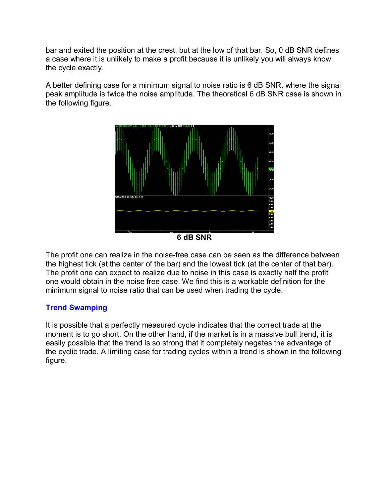bar and exited the position at the crest, but at the low of that bar. So, 0 dB SNR defines a case where it is unlikely to make a profit because it is unlikely you will always know the cycle exactly.

A better defining case for a minimum signal to noise ratio is 6 dB SNR, where the signal peak amplitude is twice the noise amplitude. The theoretical 6 dB SNR case is shown in the following figure.



**6 dB SNR** 

The profit one can realize in the noise-free case can be seen as the difference between the highest tick (at the center of the bar) and the lowest tick (at the center of that bar). The profit one can expect to realize due to noise in this case is exactly half the profit one would obtain in the noise free case. We find this is a workable definition for the minimum signal to noise ratio that can be used when trading the cycle.

### **Trend Swamping**

It is possible that a perfectly measured cycle indicates that the correct trade at the moment is to go short. On the other hand, if the market is in a massive bull trend, it is easily possible that the trend is so strong that it completely negates the advantage of the cyclic trade. A limiting case for trading cycles within a trend is shown in the following figure.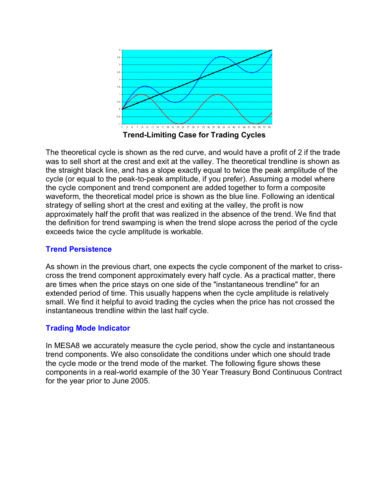

The theoretical cycle is shown as the red curve, and would have a profit of 2 if the trade was to sell short at the crest and exit at the valley. The theoretical trendline is shown as the straight black line, and has a slope exactly equal to twice the peak amplitude of the cycle (or equal to the peak-to-peak amplitude, if you prefer). Assuming a model where the cycle component and trend component are added together to form a composite waveform, the theoretical model price is shown as the blue line. Following an identical strategy of selling short at the crest and exiting at the valley, the profit is now approximately half the profit that was realized in the absence of the trend. We find that the definition for trend swamping is when the trend slope across the period of the cycle exceeds twice the cycle amplitude is workable.

### **Trend Persistence**

As shown in the previous chart, one expects the cycle component of the market to crisscross the trend component approximately every half cycle. As a practical matter, there are times when the price stays on one side of the "instantaneous trendline" for an extended period of time. This usually happens when the cycle amplitude is relatively small. We find it helpful to avoid trading the cycles when the price has not crossed the instantaneous trendline within the last half cycle.

### **Trading Mode Indicator**

In MESA8 we accurately measure the cycle period, show the cycle and instantaneous trend components. We also consolidate the conditions under which one should trade the cycle mode or the trend mode of the market. The following figure shows these components in a real-world example of the 30 Year Treasury Bond Continuous Contract for the year prior to June 2005.